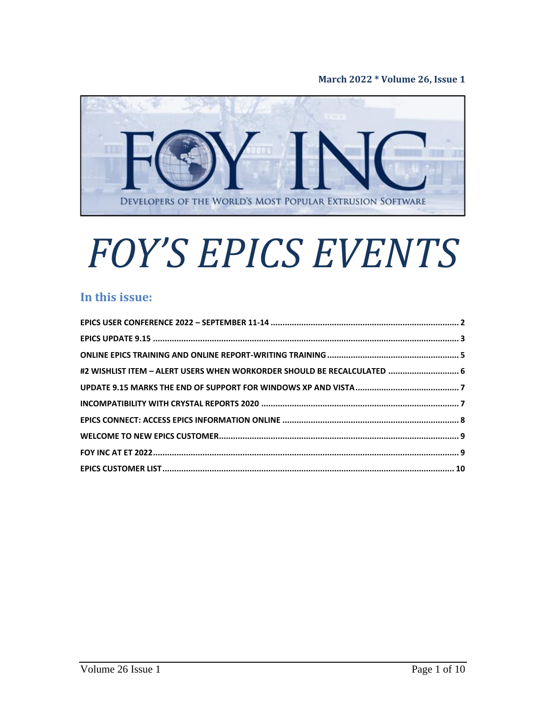**March 2022 \* Volume 26, Issue 1**



# *FOY'S EPICS EVENTS*

## **In this issue:**

| #2 WISHLIST ITEM - ALERT USERS WHEN WORKORDER SHOULD BE RECALCULATED  6 |  |
|-------------------------------------------------------------------------|--|
|                                                                         |  |
|                                                                         |  |
|                                                                         |  |
|                                                                         |  |
|                                                                         |  |
|                                                                         |  |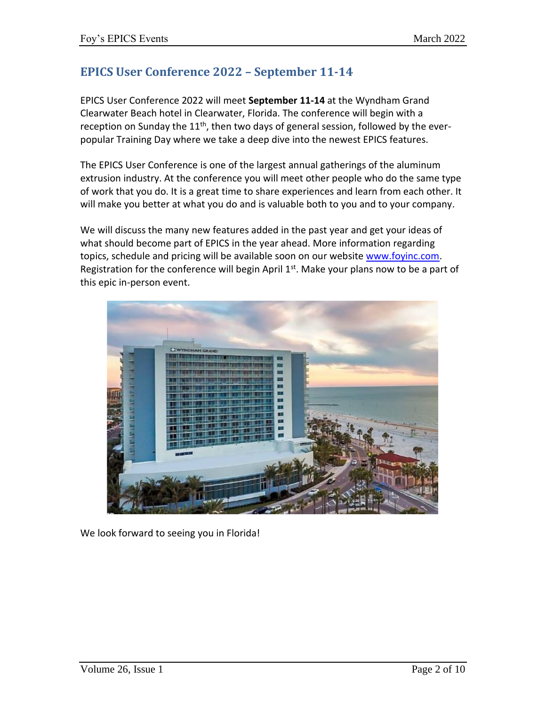## <span id="page-1-0"></span>**EPICS User Conference 2022 – September 11-14**

EPICS User Conference 2022 will meet **September 11-14** at the Wyndham Grand Clearwater Beach hotel in Clearwater, Florida. The conference will begin with a reception on Sunday the 11<sup>th</sup>, then two days of general session, followed by the everpopular Training Day where we take a deep dive into the newest EPICS features.

The EPICS User Conference is one of the largest annual gatherings of the aluminum extrusion industry. At the conference you will meet other people who do the same type of work that you do. It is a great time to share experiences and learn from each other. It will make you better at what you do and is valuable both to you and to your company.

We will discuss the many new features added in the past year and get your ideas of what should become part of EPICS in the year ahead. More information regarding topics, schedule and pricing will be available soon on our website [www.foyinc.com.](http://www.foyinc.com/) Registration for the conference will begin April  $1<sup>st</sup>$ . Make your plans now to be a part of this epic in-person event.



We look forward to seeing you in Florida!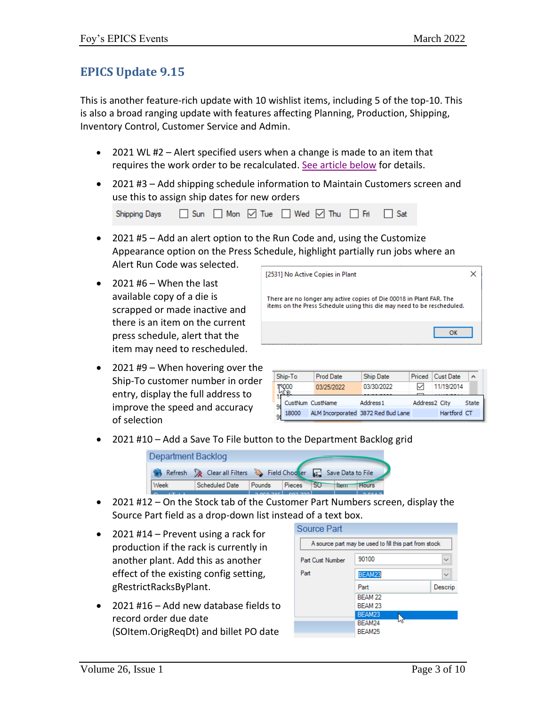## <span id="page-2-0"></span>**EPICS Update 9.15**

This is another feature-rich update with 10 wishlist items, including 5 of the top-10. This is also a broad ranging update with features affecting Planning, Production, Shipping, Inventory Control, Customer Service and Admin.

- 2021 WL #2 Alert specified users when a change is made to an item that requires the work order to be recalculated[. See article below](#page-5-1) for details.
- 2021 #3 Add shipping schedule information to Maintain Customers screen and use this to assign ship dates for new orders

| Shipping Days G Sun G Mon ⊙ Tue G Wed ⊙ Thu G Fri G Sat |  |  |  |  |  |  |  |
|---------------------------------------------------------|--|--|--|--|--|--|--|
|---------------------------------------------------------|--|--|--|--|--|--|--|

- 2021 #5 Add an alert option to the Run Code and, using the Customize Appearance option on the Press Schedule, highlight partially run jobs where an Alert Run Code was selected.
- $\bullet$  2021 #6 When the last available copy of a die is scrapped or made inactive and there is an item on the current press schedule, alert that the item may need to rescheduled.
- 2021 #9 When hovering over the Ship-To customer number in order entry, display the full address to improve the speed and accuracy of selection

| [2531] No Active Copies in Plant                                                                                                               |  |
|------------------------------------------------------------------------------------------------------------------------------------------------|--|
| There are no longer any active copies of Die 00018 in Plant FAR. The<br>items on the Press Schedule using this die may need to be rescheduled. |  |
| ок                                                                                                                                             |  |

| Ship-To | Prod Date        | Ship Date                          | Cust Date<br>Priced |             |       |
|---------|------------------|------------------------------------|---------------------|-------------|-------|
|         | 03/25/2022       | 03/30/2022                         |                     | 11/19/2014  |       |
|         |                  |                                    |                     |             |       |
|         | CustNum CustName | Address <sub>1</sub>               | Address2 City       |             | State |
| 18000   |                  | ALM Incorporated 3872 Red Bud Lane |                     | Hartford CT |       |

• 2021 #10 – Add a Save To File button to the Department Backlog grid



- 2021 #12 On the Stock tab of the Customer Part Numbers screen, display the Source Part field as a drop-down list instead of a text box.
- 2021 #14 Prevent using a rack for production if the rack is currently in another plant. Add this as another effect of the existing config setting, gRestrictRacksByPlant.
- 2021 #16 Add new database fields to record order due date (SOItem.OrigReqDt) and billet PO date

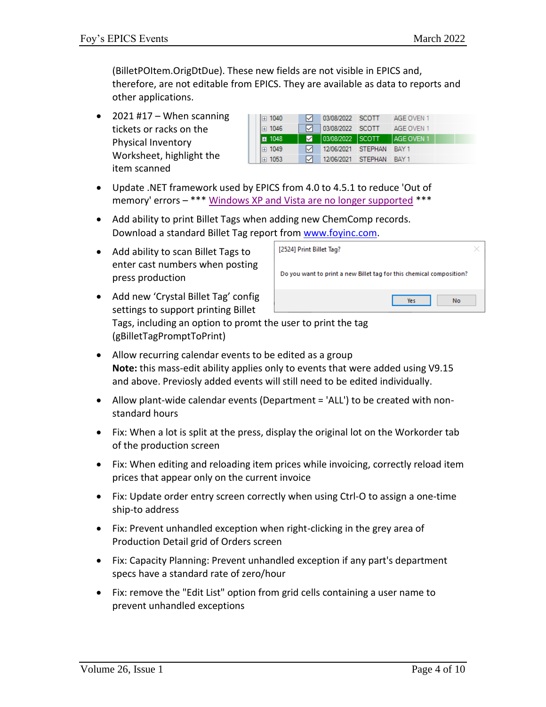(BilletPOItem.OrigDtDue). These new fields are not visible in EPICS and, therefore, are not editable from EPICS. They are available as data to reports and other applications.

 $\bullet$  2021 #17 – When scanning tickets or racks on the Physical Inventory Worksheet, highlight the item scanned

| ⊯ 1040 | 03/08/2022 SCOTT        | AGE OVEN 1         |  |
|--------|-------------------------|--------------------|--|
| 田 1046 | 03/08/2022 SCOTT        | AGE OVEN 1         |  |
| ■ 1048 | 03/08/2022 SCOTT        | <b>LAGE OVEN 1</b> |  |
| 田 1049 | 12/06/2021 STEPHAN BAY1 |                    |  |
| 田 1053 | 12/06/2021 STEPHAN      | - BAY 1            |  |

- Update .NET framework used by EPICS from 4.0 to 4.5.1 to reduce 'Out of memory' errors - \*\*\* Windows XP and Vista are no longer supported \*\*\*
- Add ability to print Billet Tags when adding new ChemComp records. Download a standard Billet Tag report from [www.foyinc.com.](http://www.foyinc.com/)
- Add ability to scan Billet Tags to enter cast numbers when posting press production



• Add new 'Crystal Billet Tag' config settings to support printing Billet

Tags, including an option to promt the user to print the tag (gBilletTagPromptToPrint)

- Allow recurring calendar events to be edited as a group **Note:** this mass-edit ability applies only to events that were added using V9.15 and above. Previosly added events will still need to be edited individually.
- Allow plant-wide calendar events (Department = 'ALL') to be created with nonstandard hours
- Fix: When a lot is split at the press, display the original lot on the Workorder tab of the production screen
- Fix: When editing and reloading item prices while invoicing, correctly reload item prices that appear only on the current invoice
- Fix: Update order entry screen correctly when using Ctrl-O to assign a one-time ship-to address
- Fix: Prevent unhandled exception when right-clicking in the grey area of Production Detail grid of Orders screen
- Fix: Capacity Planning: Prevent unhandled exception if any part's department specs have a standard rate of zero/hour
- Fix: remove the "Edit List" option from grid cells containing a user name to prevent unhandled exceptions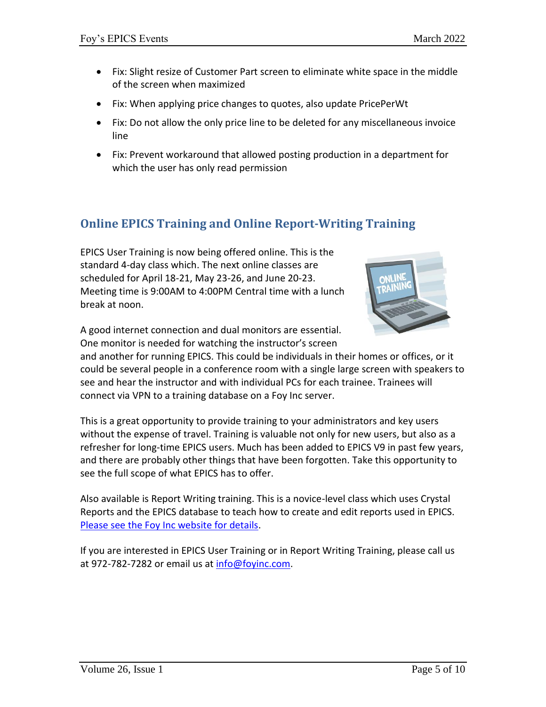- Fix: Slight resize of Customer Part screen to eliminate white space in the middle of the screen when maximized
- Fix: When applying price changes to quotes, also update PricePerWt
- Fix: Do not allow the only price line to be deleted for any miscellaneous invoice line
- Fix: Prevent workaround that allowed posting production in a department for which the user has only read permission

## <span id="page-4-0"></span>**Online EPICS Training and Online Report-Writing Training**

EPICS User Training is now being offered online. This is the standard 4-day class which. The next online classes are scheduled for April 18-21, May 23-26, and June 20-23. Meeting time is 9:00AM to 4:00PM Central time with a lunch break at noon.



A good internet connection and dual monitors are essential. One monitor is needed for watching the instructor's screen

and another for running EPICS. This could be individuals in their homes or offices, or it could be several people in a conference room with a single large screen with speakers to see and hear the instructor and with individual PCs for each trainee. Trainees will connect via VPN to a training database on a Foy Inc server.

This is a great opportunity to provide training to your administrators and key users without the expense of travel. Training is valuable not only for new users, but also as a refresher for long-time EPICS users. Much has been added to EPICS V9 in past few years, and there are probably other things that have been forgotten. Take this opportunity to see the full scope of what EPICS has to offer.

Also available is Report Writing training. This is a novice-level class which uses Crystal Reports and the EPICS database to teach how to create and edit reports used in EPICS. [Please see the Foy Inc website for details.](https://www.foyinc.com/Pages/Training/Classes.aspx)

If you are interested in EPICS User Training or in Report Writing Training, please call us at 972-782-7282 or email us at [info@foyinc.com.](mailto:info@foyinc.com)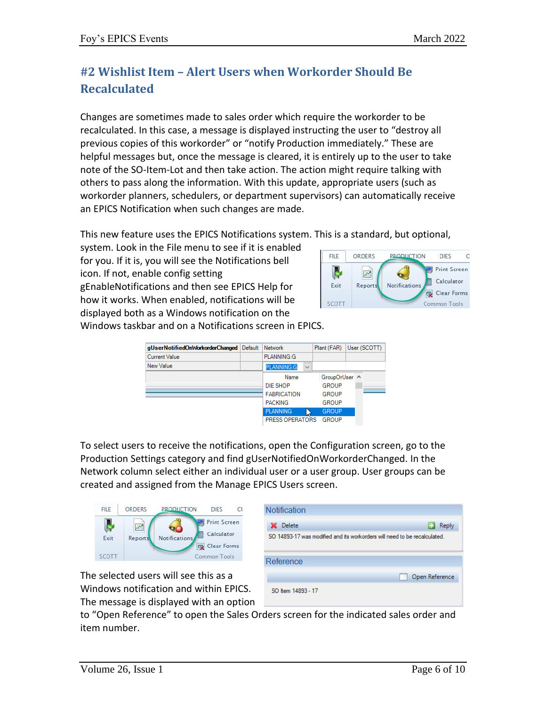# <span id="page-5-1"></span><span id="page-5-0"></span>**#2 Wishlist Item – Alert Users when Workorder Should Be Recalculated**

Changes are sometimes made to sales order which require the workorder to be recalculated. In this case, a message is displayed instructing the user to "destroy all previous copies of this workorder" or "notify Production immediately." These are helpful messages but, once the message is cleared, it is entirely up to the user to take note of the SO-Item-Lot and then take action. The action might require talking with others to pass along the information. With this update, appropriate users (such as workorder planners, schedulers, or department supervisors) can automatically receive an EPICS Notification when such changes are made.

This new feature uses the EPICS Notifications system. This is a standard, but optional,

system. Look in the File menu to see if it is enabled for you. If it is, you will see the Notifications bell icon. If not, enable config setting gEnableNotifications and then see EPICS Help for how it works. When enabled, notifications will be displayed both as a Windows notification on the



Windows taskbar and on a Notifications screen in EPICS.

| gUserNotifiedOnWorkorderChanged Default | <b>Network</b>                    | Plant (FAR)   |  | User (SCOTT) |
|-----------------------------------------|-----------------------------------|---------------|--|--------------|
| <b>Current Value</b>                    | PLANNING:G                        |               |  |              |
| New Value                               | <b>PLANNING:G</b><br>$\checkmark$ |               |  |              |
|                                         | Name                              | GroupOrUser ^ |  |              |
|                                         | DIE SHOP                          | <b>GROUP</b>  |  |              |
|                                         | <b>FABRICATION</b>                | <b>GROUP</b>  |  |              |
|                                         | <b>PACKING</b>                    | <b>GROUP</b>  |  |              |
|                                         | <b>PLANNING</b>                   | <b>GROUP</b>  |  |              |
|                                         | PRESS OPERATORS                   | <b>GROUP</b>  |  |              |

To select users to receive the notifications, open the Configuration screen, go to the Production Settings category and find gUserNotifiedOnWorkorderChanged. In the Network column select either an individual user or a user group. User groups can be created and assigned from the Manage EPICS Users screen.



The selected users will see this as a Windows notification and within EPICS. The message is displayed with an option

| <b>Notification</b>                                                       |                |
|---------------------------------------------------------------------------|----------------|
| <b>Delete</b><br>x                                                        | Reply          |
| SO 14893-17 was modified and its workorders will need to be recalculated. |                |
| Reference                                                                 |                |
|                                                                           | Open Reference |
| SO Item 14893 - 17                                                        |                |

to "Open Reference" to open the Sales Orders screen for the indicated sales order and item number.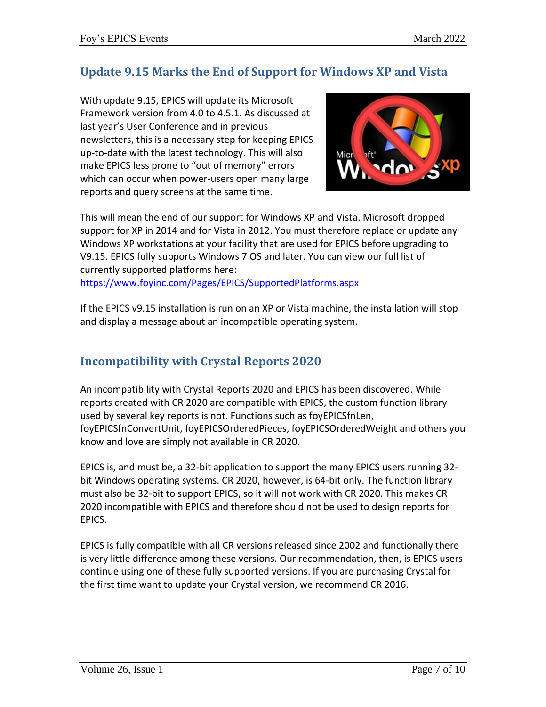## <span id="page-6-0"></span>**Update 9.15 Marks the End of Support for Windows XP and Vista**

With update 9.15, EPICS will update its Microsoft Framework version from 4.0 to 4.5.1. As discussed at last year's User Conference and in previous newsletters, this is a necessary step for keeping EPICS up-to-date with the latest technology. This will also make EPICS less prone to "out of memory" errors which can occur when power-users open many large reports and query screens at the same time.



This will mean the end of our support for Windows XP and Vista. Microsoft dropped support for XP in 2014 and for Vista in 2012. You must therefore replace or update any Windows XP workstations at your facility that are used for EPICS before upgrading to V9.15. EPICS fully supports Windows 7 OS and later. You can view our full list of currently supported platforms here:

<https://www.foyinc.com/Pages/EPICS/SupportedPlatforms.aspx>

If the EPICS v9.15 installation is run on an XP or Vista machine, the installation will stop and display a message about an incompatible operating system.

# <span id="page-6-1"></span>**Incompatibility with Crystal Reports 2020**

An incompatibility with Crystal Reports 2020 and EPICS has been discovered. While reports created with CR 2020 are compatible with EPICS, the custom function library used by several key reports is not. Functions such as foyEPICSfnLen, foyEPICSfnConvertUnit, foyEPICSOrderedPieces, foyEPICSOrderedWeight and others you know and love are simply not available in CR 2020.

EPICS is, and must be, a 32-bit application to support the many EPICS users running 32 bit Windows operating systems. CR 2020, however, is 64-bit only. The function library must also be 32-bit to support EPICS, so it will not work with CR 2020. This makes CR 2020 incompatible with EPICS and therefore should not be used to design reports for EPICS.

EPICS is fully compatible with all CR versions released since 2002 and functionally there is very little difference among these versions. Our recommendation, then, is EPICS users continue using one of these fully supported versions. If you are purchasing Crystal for the first time want to update your Crystal version, we recommend CR 2016.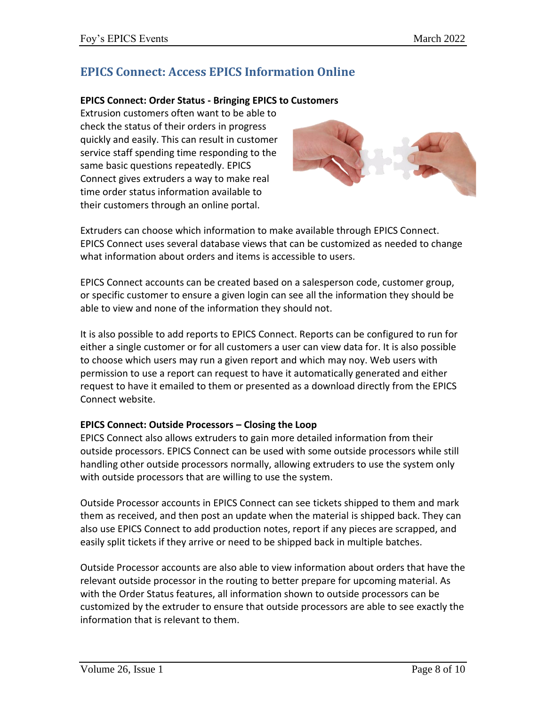## <span id="page-7-0"></span>**EPICS Connect: Access EPICS Information Online**

### **EPICS Connect: Order Status - Bringing EPICS to Customers**

Extrusion customers often want to be able to check the status of their orders in progress quickly and easily. This can result in customer service staff spending time responding to the same basic questions repeatedly. EPICS Connect gives extruders a way to make real time order status information available to their customers through an online portal.



Extruders can choose which information to make available through EPICS Connect. EPICS Connect uses several database views that can be customized as needed to change what information about orders and items is accessible to users.

EPICS Connect accounts can be created based on a salesperson code, customer group, or specific customer to ensure a given login can see all the information they should be able to view and none of the information they should not.

It is also possible to add reports to EPICS Connect. Reports can be configured to run for either a single customer or for all customers a user can view data for. It is also possible to choose which users may run a given report and which may noy. Web users with permission to use a report can request to have it automatically generated and either request to have it emailed to them or presented as a download directly from the EPICS Connect website.

## **EPICS Connect: Outside Processors – Closing the Loop**

EPICS Connect also allows extruders to gain more detailed information from their outside processors. EPICS Connect can be used with some outside processors while still handling other outside processors normally, allowing extruders to use the system only with outside processors that are willing to use the system.

Outside Processor accounts in EPICS Connect can see tickets shipped to them and mark them as received, and then post an update when the material is shipped back. They can also use EPICS Connect to add production notes, report if any pieces are scrapped, and easily split tickets if they arrive or need to be shipped back in multiple batches.

Outside Processor accounts are also able to view information about orders that have the relevant outside processor in the routing to better prepare for upcoming material. As with the Order Status features, all information shown to outside processors can be customized by the extruder to ensure that outside processors are able to see exactly the information that is relevant to them.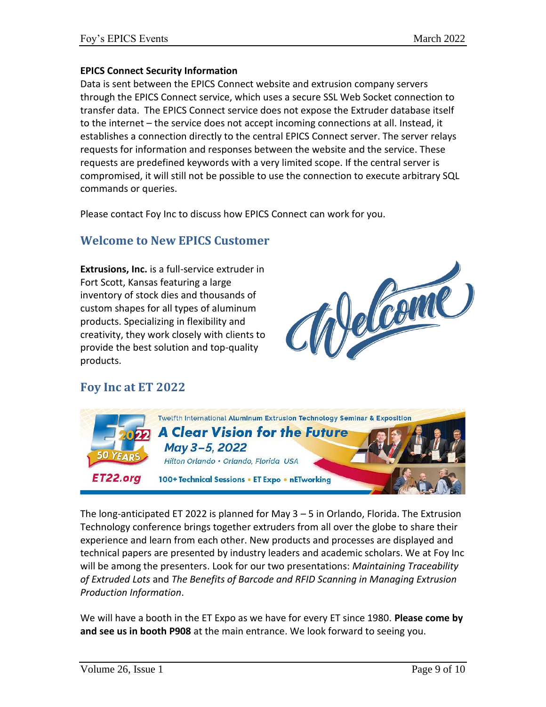### **EPICS Connect Security Information**

Data is sent between the EPICS Connect website and extrusion company servers through the EPICS Connect service, which uses a secure SSL Web Socket connection to transfer data. The EPICS Connect service does not expose the Extruder database itself to the internet – the service does not accept incoming connections at all. Instead, it establishes a connection directly to the central EPICS Connect server. The server relays requests for information and responses between the website and the service. These requests are predefined keywords with a very limited scope. If the central server is compromised, it will still not be possible to use the connection to execute arbitrary SQL commands or queries.

Please contact Foy Inc to discuss how EPICS Connect can work for you.

## <span id="page-8-0"></span>**Welcome to New EPICS Customer**

**Extrusions, Inc.** is a full-service extruder in Fort Scott, Kansas featuring a large inventory of stock dies and thousands of custom shapes for all types of aluminum products. Specializing in flexibility and creativity, they work closely with clients to provide the best solution and top-quality products.



## <span id="page-8-1"></span>**Foy Inc at ET 2022**



The long-anticipated ET 2022 is planned for May 3 – 5 in Orlando, Florida. The Extrusion Technology conference brings together extruders from all over the globe to share their experience and learn from each other. New products and processes are displayed and technical papers are presented by industry leaders and academic scholars. We at Foy Inc will be among the presenters. Look for our two presentations: *Maintaining Traceability of Extruded Lots* and *The Benefits of Barcode and RFID Scanning in Managing Extrusion Production Information*.

We will have a booth in the ET Expo as we have for every ET since 1980. **Please come by and see us in booth P908** at the main entrance. We look forward to seeing you.